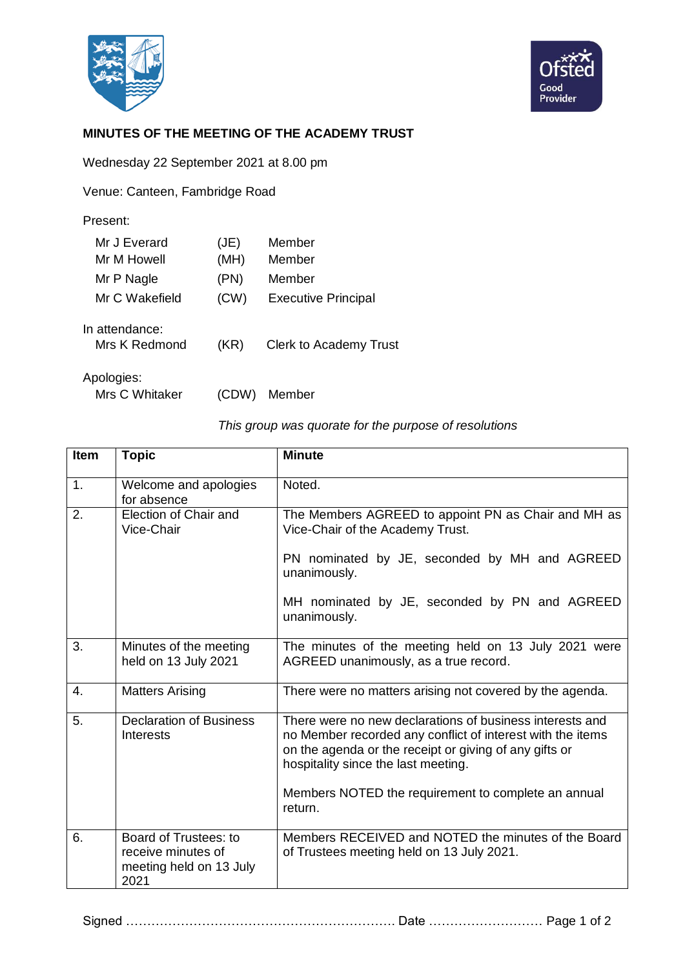



## **MINUTES OF THE MEETING OF THE ACADEMY TRUST**

Wednesday 22 September 2021 at 8.00 pm

Venue: Canteen, Fambridge Road

| Present:                        |      |                               |
|---------------------------------|------|-------------------------------|
| Mr J Everard                    | J(E) | Member                        |
| Mr M Howell                     | (MH) | Member                        |
| Mr P Nagle                      | (PN) | Member                        |
| Mr C Wakefield                  | (CW) | <b>Executive Principal</b>    |
| In attendance:<br>Mrs K Redmond | (KR) | <b>Clerk to Academy Trust</b> |
| Anologico:                      |      |                               |

Apologies:

Mrs C Whitaker (CDW) Member

| <b>Item</b> | <b>Topic</b>                                          | <b>Minute</b>                                                                                                                                                                                                                                                                             |
|-------------|-------------------------------------------------------|-------------------------------------------------------------------------------------------------------------------------------------------------------------------------------------------------------------------------------------------------------------------------------------------|
| 1.          | Welcome and apologies<br>for absence                  | Noted.                                                                                                                                                                                                                                                                                    |
| 2.          | Election of Chair and<br>Vice-Chair                   | The Members AGREED to appoint PN as Chair and MH as<br>Vice-Chair of the Academy Trust.                                                                                                                                                                                                   |
|             |                                                       | PN nominated by JE, seconded by MH and AGREED<br>unanimously.                                                                                                                                                                                                                             |
|             |                                                       | MH nominated by JE, seconded by PN and AGREED<br>unanimously.                                                                                                                                                                                                                             |
| 3.          | Minutes of the meeting<br>held on 13 July 2021        | The minutes of the meeting held on 13 July 2021 were<br>AGREED unanimously, as a true record.                                                                                                                                                                                             |
| 4.          | <b>Matters Arising</b>                                | There were no matters arising not covered by the agenda.                                                                                                                                                                                                                                  |
| 5.          | <b>Declaration of Business</b><br>Interests           | There were no new declarations of business interests and<br>no Member recorded any conflict of interest with the items<br>on the agenda or the receipt or giving of any gifts or<br>hospitality since the last meeting.<br>Members NOTED the requirement to complete an annual<br>return. |
| 6.          | Board of Trustees: to                                 | Members RECEIVED and NOTED the minutes of the Board                                                                                                                                                                                                                                       |
|             | receive minutes of<br>meeting held on 13 July<br>2021 | of Trustees meeting held on 13 July 2021.                                                                                                                                                                                                                                                 |

Signed ………………………………………………………. Date ……………………… Page 1 of 2